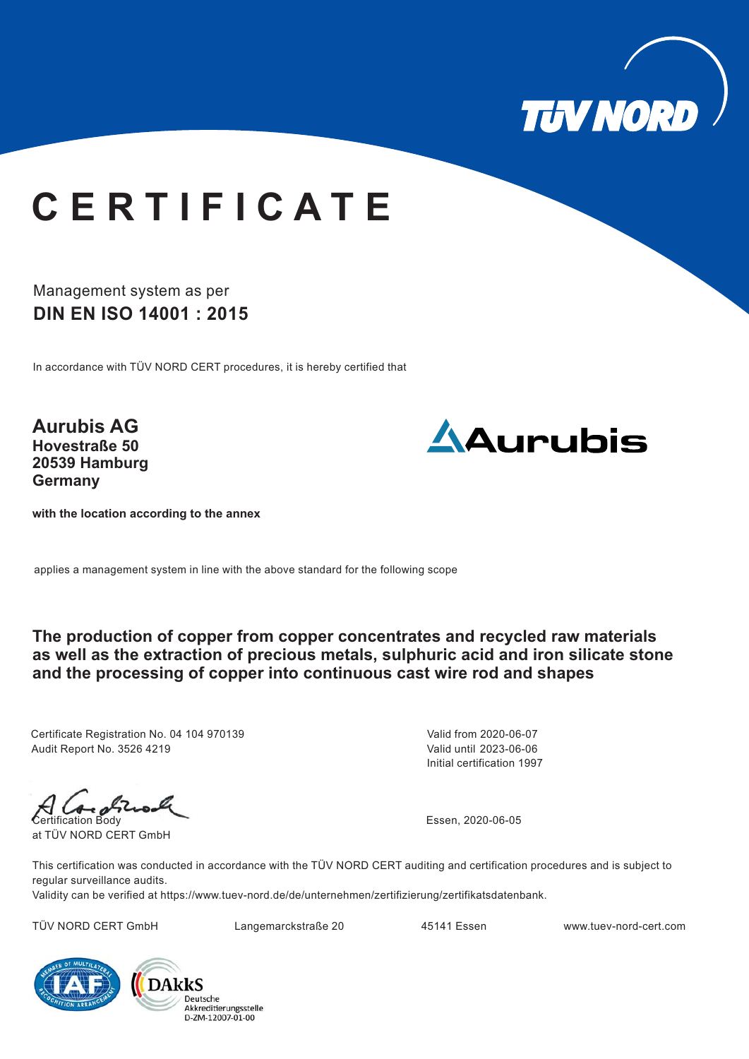

## **C E R T I F I C A T E**

Management system as per **DIN EN ISO 14001 : 2015**

In accordance with TÜV NORD CERT procedures, it is hereby certified that

**Aurubis AG Hovestraße 50 20539 Hamburg Germany**



**with the location according to the annex**

applies a management system in line with the above standard for the following scope

**The production of copper from copper concentrates and recycled raw materials as well as the extraction of precious metals, sulphuric acid and iron silicate stone and the processing of copper into continuous cast wire rod and shapes**

Certificate Registration No. 04 104 970139 Audit Report No. 3526 4219

Initial certification 1997 Valid from 2020-06-07 Valid until 2023-06-06

Certification Body

at TÜV NORD CERT GmbH

Essen, 2020-06-05

This certification was conducted in accordance with the TÜV NORD CERT auditing and certification procedures and is subject to regular surveillance audits.

Validity can be verified at https://www.tuev-nord.de/de/unternehmen/zertifizierung/zertifikatsdatenbank.

TÜV NORD CERT GmbH Langemarckstraße 20 45141 Essen www.tuev-nord-cert.com